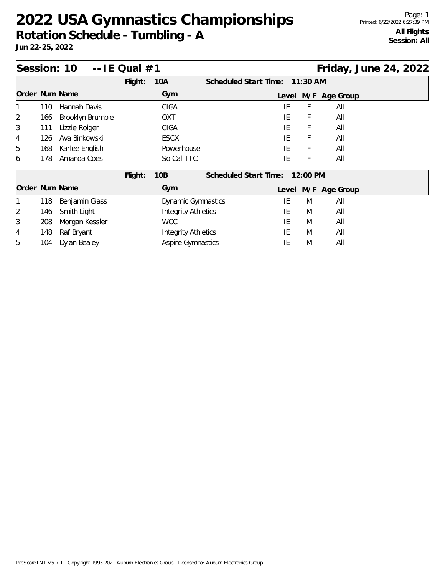## **2022 USA Gymnastics Championships**

**Rotation Schedule - Tumbling - A**

**Jun 22-25, 2022**

| Session: $10 - -1E$ Qual $#1$ |     |                  |                            |                            |                       |       |            |                     | Friday, June 24, 2022 |  |
|-------------------------------|-----|------------------|----------------------------|----------------------------|-----------------------|-------|------------|---------------------|-----------------------|--|
|                               |     |                  | Flight:                    | <b>10A</b>                 | Scheduled Start Time: |       | $11:30$ AM |                     |                       |  |
| Order Num Name                |     |                  |                            | Gym                        |                       |       |            | Level M/F Age Group |                       |  |
|                               | 110 | Hannah Davis     |                            | <b>CIGA</b>                |                       | ΙE    | F          | All                 |                       |  |
| 2                             | 166 | Brooklyn Brumble |                            | OXT                        |                       | IE    | F          | All                 |                       |  |
| 3                             | 111 | Lizzie Roiger    |                            | <b>CIGA</b>                |                       | IE    | F          | All                 |                       |  |
| 4                             | 126 | Ava Binkowski    |                            | <b>ESCX</b>                |                       | IE    | F          | All                 |                       |  |
| 5                             | 168 | Karlee English   |                            | Powerhouse                 |                       | IE    | F          | All                 |                       |  |
| 6                             | 178 | Amanda Coes      |                            | So Cal TTC                 |                       | ΙE    | F          | All                 |                       |  |
|                               |     |                  | Flight:                    | 10 <sub>B</sub>            | Scheduled Start Time: |       | 12:00 PM   |                     |                       |  |
| Order Num Name                |     |                  |                            | Gym                        |                       | Level |            | M/F Age Group       |                       |  |
|                               | 118 | Benjamin Glass   |                            | <b>Dynamic Gymnastics</b>  |                       | ΙE    | M          | All                 |                       |  |
| 2                             | 146 | Smith Light      |                            | <b>Integrity Athletics</b> |                       | IE    | M          | All                 |                       |  |
| 3                             | 208 | Morgan Kessler   | <b>WCC</b>                 |                            |                       | IE    | M          | All                 |                       |  |
| 4                             | 148 | Raf Bryant       | <b>Integrity Athletics</b> |                            |                       | IE    | M          | All                 |                       |  |
| 5                             | 104 | Dylan Bealey     | <b>Aspire Gymnastics</b>   |                            |                       | ΙE    | M          | All                 |                       |  |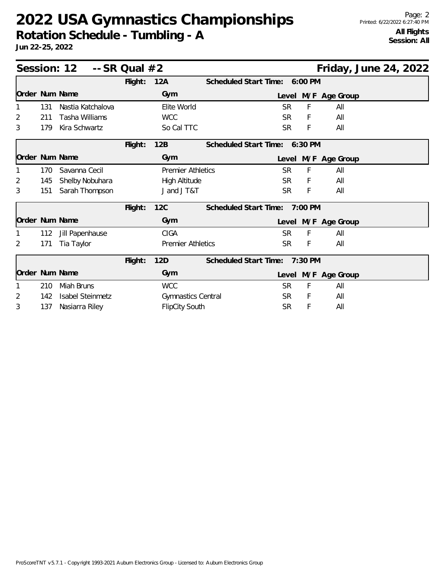## **2022 USA Gymnastics Championships**

**Rotation Schedule - Tumbling - A**

**Jun 22-25, 2022**

|                |     | Session: $12 - S$ R Qual $#2$ |         |                          |                               |           |         | Friday, June 24, 2022 |  |  |
|----------------|-----|-------------------------------|---------|--------------------------|-------------------------------|-----------|---------|-----------------------|--|--|
|                |     |                               | Flight: | 12A                      | Scheduled Start Time:         |           | 6:00 PM |                       |  |  |
| Order Num Name |     |                               |         | Gym                      |                               |           |         | Level M/F Age Group   |  |  |
|                | 131 | Nastia Katchalova             |         | Elite World              |                               | <b>SR</b> | F       | All                   |  |  |
| 2              | 211 | Tasha Williams                |         | <b>WCC</b>               |                               | SR.       | F       | All                   |  |  |
| 3              | 179 | Kira Schwartz                 |         | So Cal TTC               |                               | <b>SR</b> | F       | All                   |  |  |
|                |     |                               | Flight: | 12B                      | Scheduled Start Time: 6:30 PM |           |         |                       |  |  |
| Order Num Name |     |                               |         | Gym                      |                               |           |         | Level M/F Age Group   |  |  |
|                | 170 | Savanna Cecil                 |         | <b>Premier Athletics</b> |                               | SR.       | F       | All                   |  |  |
| 2              | 145 | Shelby Nobuhara               |         | <b>High Altitude</b>     |                               | <b>SR</b> | F       | All                   |  |  |
| 3              | 151 | Sarah Thompson                |         | J and J T&T              |                               | SR.       | F       | All                   |  |  |
|                |     |                               | Flight: | 12C                      | Scheduled Start Time:         |           | 7:00 PM |                       |  |  |
| Order Num Name |     |                               |         | Gym                      |                               |           |         | Level M/F Age Group   |  |  |
|                | 112 | Jill Papenhause               |         | <b>CIGA</b>              |                               | <b>SR</b> | F       | All                   |  |  |
| $\overline{2}$ | 171 | Tia Taylor                    |         | <b>Premier Athletics</b> |                               | SR.       | F       | All                   |  |  |
|                |     |                               | Flight: | 12D                      | Scheduled Start Time:         |           | 7:30 PM |                       |  |  |
| Order Num Name |     |                               |         | Gym                      |                               |           |         | Level M/F Age Group   |  |  |
|                | 210 | Miah Bruns                    |         | <b>WCC</b>               |                               | <b>SR</b> | F       | All                   |  |  |
| 2              | 142 | <b>Isabel Steinmetz</b>       |         | Gymnastics Central       |                               | SR.       | F       | All                   |  |  |
| 3              | 137 | Nasiarra Riley                |         | <b>FlipCity South</b>    |                               | <b>SR</b> | F       | All                   |  |  |